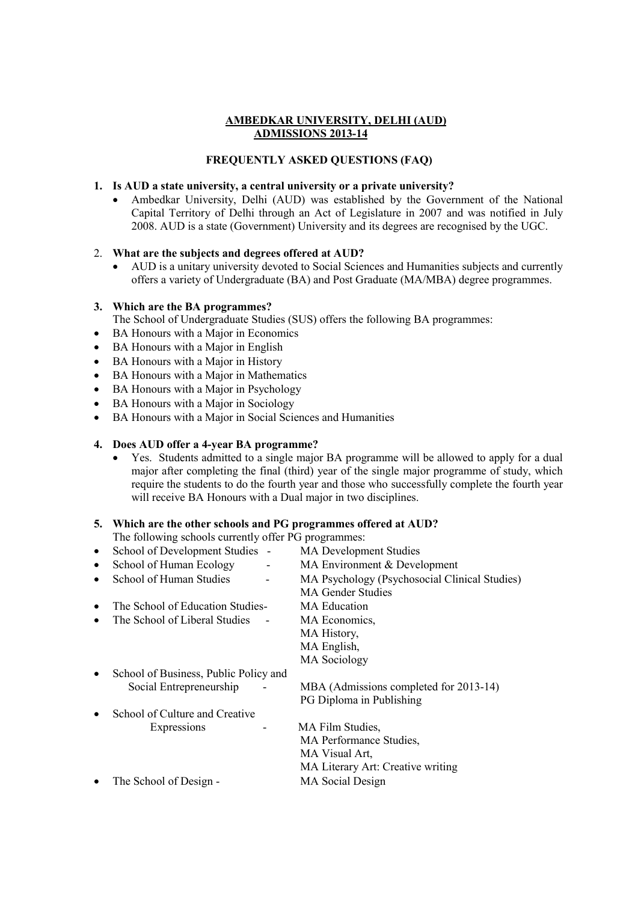## **AMBEDKAR UNIVERSITY, DELHI (AUD) ADMISSIONS 2013-14**

## **FREQUENTLY ASKED QUESTIONS (FAQ)**

### **1. Is AUD a state university, a central university or a private university?**

 Ambedkar University, Delhi (AUD) was established by the Government of the National Capital Territory of Delhi through an Act of Legislature in 2007 and was notified in July 2008. AUD is a state (Government) University and its degrees are recognised by the UGC.

## 2. **What are the subjects and degrees offered at AUD?**

 AUD is a unitary university devoted to Social Sciences and Humanities subjects and currently offers a variety of Undergraduate (BA) and Post Graduate (MA/MBA) degree programmes.

## **3. Which are the BA programmes?**

The School of Undergraduate Studies (SUS) offers the following BA programmes:

- BA Honours with a Major in Economics
- BA Honours with a Major in English
- BA Honours with a Major in History
- BA Honours with a Major in Mathematics
- BA Honours with a Major in Psychology
- BA Honours with a Major in Sociology
- BA Honours with a Major in Social Sciences and Humanities

## **4. Does AUD offer a 4-year BA programme?**

 Yes. Students admitted to a single major BA programme will be allowed to apply for a dual major after completing the final (third) year of the single major programme of study, which require the students to do the fourth year and those who successfully complete the fourth year will receive BA Honours with a Dual major in two disciplines.

### **5. Which are the other schools and PG programmes offered at AUD?**

The following schools currently offer PG programmes:

| $\bullet$ | School of Development Studies -       | <b>MA Development Studies</b>                 |
|-----------|---------------------------------------|-----------------------------------------------|
| $\bullet$ | School of Human Ecology<br>-          | MA Environment & Development                  |
| ٠         | School of Human Studies               | MA Psychology (Psychosocial Clinical Studies) |
|           |                                       | <b>MA Gender Studies</b>                      |
| $\bullet$ | The School of Education Studies-      | <b>MA Education</b>                           |
| ٠         | The School of Liberal Studies         | MA Economics,                                 |
|           |                                       | MA History,                                   |
|           |                                       | MA English,                                   |
|           |                                       | <b>MA</b> Sociology                           |
| ٠         | School of Business, Public Policy and |                                               |
|           | Social Entrepreneurship               | MBA (Admissions completed for 2013-14)        |
|           |                                       | PG Diploma in Publishing                      |
| $\bullet$ | School of Culture and Creative        |                                               |
|           | Expressions                           | MA Film Studies,                              |
|           |                                       | MA Performance Studies,                       |
|           |                                       | MA Visual Art,                                |
|           |                                       | MA Literary Art: Creative writing             |
| $\bullet$ | The School of Design -                | <b>MA</b> Social Design                       |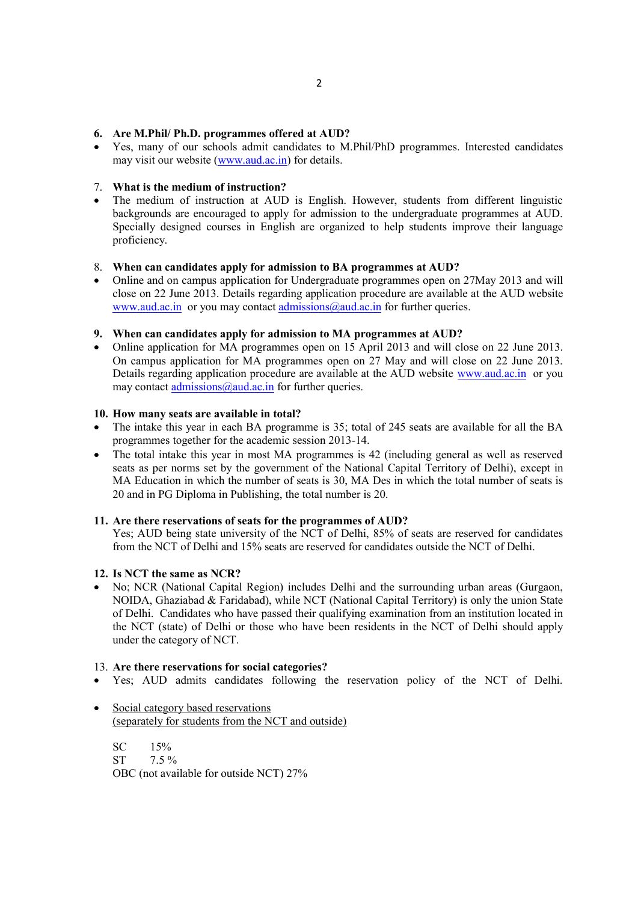#### **6. Are M.Phil/ Ph.D. programmes offered at AUD?**

 Yes, many of our schools admit candidates to M.Phil/PhD programmes. Interested candidates may visit our website (www.aud.ac.in) for details.

# 7. **What is the medium of instruction?**

 The medium of instruction at AUD is English. However, students from different linguistic backgrounds are encouraged to apply for admission to the undergraduate programmes at AUD. Specially designed courses in English are organized to help students improve their language proficiency.

#### 8. **When can candidates apply for admission to BA programmes at AUD?**

 Online and on campus application for Undergraduate programmes open on 27May 2013 and will close on 22 June 2013. Details regarding application procedure are available at the AUD website www.aud.ac.in or you may contact admissions@aud.ac.in for further queries.

#### **9. When can candidates apply for admission to MA programmes at AUD?**

• Online application for MA programmes open on 15 April 2013 and will close on 22 June 2013. On campus application for MA programmes open on 27 May and will close on 22 June 2013. Details regarding application procedure are available at the AUD website www.aud.ac.in or you may contact admissions@aud.ac.in for further queries.

#### **10. How many seats are available in total?**

- The intake this year in each BA programme is 35; total of 245 seats are available for all the BA programmes together for the academic session 2013-14.
- The total intake this year in most MA programmes is 42 (including general as well as reserved seats as per norms set by the government of the National Capital Territory of Delhi), except in MA Education in which the number of seats is 30, MA Des in which the total number of seats is 20 and in PG Diploma in Publishing, the total number is 20.

#### **11. Are there reservations of seats for the programmes of AUD?**

Yes; AUD being state university of the NCT of Delhi, 85% of seats are reserved for candidates from the NCT of Delhi and 15% seats are reserved for candidates outside the NCT of Delhi.

### **12. Is NCT the same as NCR?**

 No; NCR (National Capital Region) includes Delhi and the surrounding urban areas (Gurgaon, NOIDA, Ghaziabad & Faridabad), while NCT (National Capital Territory) is only the union State of Delhi. Candidates who have passed their qualifying examination from an institution located in the NCT (state) of Delhi or those who have been residents in the NCT of Delhi should apply under the category of NCT.

#### 13. **Are there reservations for social categories?**

- Yes; AUD admits candidates following the reservation policy of the NCT of Delhi.
- Social category based reservations (separately for students from the NCT and outside)

SC 15%<br>ST 7.5%  $7.5 \%$ OBC (not available for outside NCT) 27%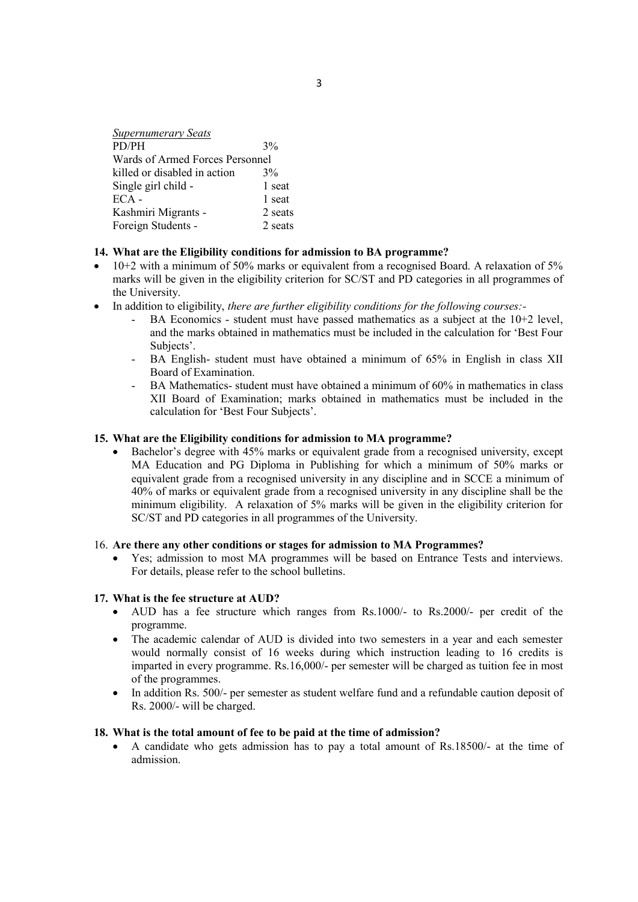| <b>Supernumerary Seats</b>      |         |  |  |
|---------------------------------|---------|--|--|
| PD/PH                           | 3%      |  |  |
| Wards of Armed Forces Personnel |         |  |  |
| killed or disabled in action    | $3\%$   |  |  |
| Single girl child -             | 1 seat  |  |  |
| $ECA -$                         | 1 seat  |  |  |
| Kashmiri Migrants -             | 2 seats |  |  |
| Foreign Students -              | 2 seats |  |  |

### **14. What are the Eligibility conditions for admission to BA programme?**

- 10+2 with a minimum of 50% marks or equivalent from a recognised Board. A relaxation of 5% marks will be given in the eligibility criterion for SC/ST and PD categories in all programmes of the University.
- In addition to eligibility, *there are further eligibility conditions for the following courses:-*
	- BA Economics student must have passed mathematics as a subject at the  $10+2$  level, and the marks obtained in mathematics must be included in the calculation for 'Best Four Subjects'.
	- BA English- student must have obtained a minimum of 65% in English in class XII Board of Examination.
	- BA Mathematics- student must have obtained a minimum of 60% in mathematics in class XII Board of Examination; marks obtained in mathematics must be included in the calculation for 'Best Four Subjects'.

### **15. What are the Eligibility conditions for admission to MA programme?**

 Bachelor's degree with 45% marks or equivalent grade from a recognised university, except MA Education and PG Diploma in Publishing for which a minimum of 50% marks or equivalent grade from a recognised university in any discipline and in SCCE a minimum of 40% of marks or equivalent grade from a recognised university in any discipline shall be the minimum eligibility. A relaxation of 5% marks will be given in the eligibility criterion for SC/ST and PD categories in all programmes of the University.

### 16. **Are there any other conditions or stages for admission to MA Programmes?**

 Yes; admission to most MA programmes will be based on Entrance Tests and interviews. For details, please refer to the school bulletins.

### **17. What is the fee structure at AUD?**

- AUD has a fee structure which ranges from Rs.1000/- to Rs.2000/- per credit of the programme.
- The academic calendar of AUD is divided into two semesters in a year and each semester would normally consist of 16 weeks during which instruction leading to 16 credits is imparted in every programme. Rs.16,000/- per semester will be charged as tuition fee in most of the programmes.
- In addition Rs. 500/- per semester as student welfare fund and a refundable caution deposit of Rs. 2000/- will be charged.

### **18. What is the total amount of fee to be paid at the time of admission?**

 A candidate who gets admission has to pay a total amount of Rs.18500/- at the time of admission.